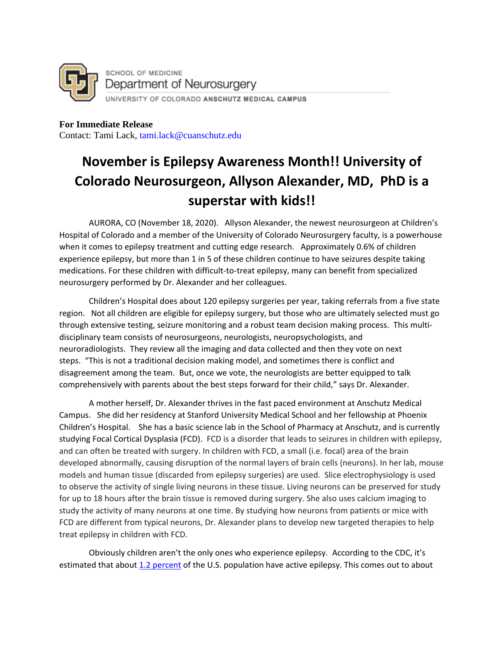

**For Immediate Release**  Contact: Tami Lack, tami.lack@cuanschutz.edu

## **November is Epilepsy Awareness Month!! University of Colorado Neurosurgeon, Allyson Alexander, MD, PhD is a superstar with kids!!**

AURORA, CO (November 18, 2020). Allyson Alexander, the newest neurosurgeon at Children's Hospital of Colorado and a member of the University of Colorado Neurosurgery faculty, is a powerhouse when it comes to epilepsy treatment and cutting edge research. Approximately 0.6% of children experience epilepsy, but more than 1 in 5 of these children continue to have seizures despite taking medications. For these children with difficult-to-treat epilepsy, many can benefit from specialized neurosurgery performed by Dr. Alexander and her colleagues.

Children's Hospital does about 120 epilepsy surgeries per year, taking referrals from a five state region. Not all children are eligible for epilepsy surgery, but those who are ultimately selected must go through extensive testing, seizure monitoring and a robust team decision making process. This multidisciplinary team consists of neurosurgeons, neurologists, neuropsychologists, and neuroradiologists. They review all the imaging and data collected and then they vote on next steps. "This is not a traditional decision making model, and sometimes there is conflict and disagreement among the team. But, once we vote, the neurologists are better equipped to talk comprehensively with parents about the best steps forward for their child," says Dr. Alexander.

A mother herself, Dr. Alexander thrives in the fast paced environment at Anschutz Medical Campus. She did her residency at Stanford University Medical School and her fellowship at Phoenix Children's Hospital. She has a basic science lab in the School of Pharmacy at Anschutz, and is currently studying Focal Cortical Dysplasia (FCD). FCD is a disorder that leads to seizures in children with epilepsy, and can often be treated with surgery. In children with FCD, a small (i.e. focal) area of the brain developed abnormally, causing disruption of the normal layers of brain cells (neurons). In her lab, mouse models and human tissue (discarded from epilepsy surgeries) are used. Slice electrophysiology is used to observe the activity of single living neurons in these tissue. Living neurons can be preserved for study for up to 18 hours after the brain tissue is removed during surgery. She also uses calcium imaging to study the activity of many neurons at one time. By studying how neurons from patients or mice with FCD are different from typical neurons, Dr. Alexander plans to develop new targeted therapies to help treat epilepsy in children with FCD.

Obviously children aren't the only ones who experience epilepsy. According to the CDC, it's estimated that about [1.2 percent](https://www.cdc.gov/epilepsy/about/fast-facts.htm) of the U.S. population have active epilepsy. This comes out to about